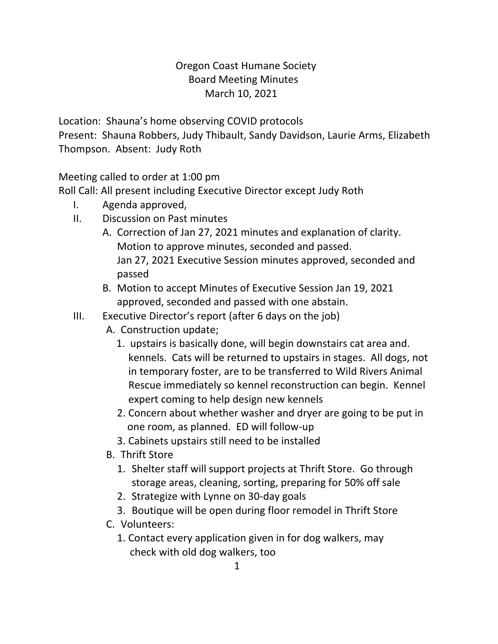## Oregon Coast Humane Society Board Meeting Minutes March 10, 2021

Location: Shauna's home observing COVID protocols

Present: Shauna Robbers, Judy Thibault, Sandy Davidson, Laurie Arms, Elizabeth Thompson. Absent: Judy Roth

Meeting called to order at 1:00 pm

Roll Call: All present including Executive Director except Judy Roth

- I. Agenda approved,
- II. Discussion on Past minutes
	- A. Correction of Jan 27, 2021 minutes and explanation of clarity. Motion to approve minutes, seconded and passed. Jan 27, 2021 Executive Session minutes approved, seconded and passed
	- B. Motion to accept Minutes of Executive Session Jan 19, 2021 approved, seconded and passed with one abstain.
- III. Executive Director's report (after 6 days on the job)
	- A. Construction update;
		- 1. upstairs is basically done, will begin downstairs cat area and. kennels. Cats will be returned to upstairs in stages. All dogs, not in temporary foster, are to be transferred to Wild Rivers Animal Rescue immediately so kennel reconstruction can begin. Kennel expert coming to help design new kennels
		- 2. Concern about whether washer and dryer are going to be put in one room, as planned. ED will follow-up
		- 3. Cabinets upstairs still need to be installed
	- B. Thrift Store
		- 1. Shelter staff will support projects at Thrift Store. Go through storage areas, cleaning, sorting, preparing for 50% off sale
		- 2. Strategize with Lynne on 30-day goals
		- 3. Boutique will be open during floor remodel in Thrift Store
	- C. Volunteers:
		- 1. Contact every application given in for dog walkers, may check with old dog walkers, too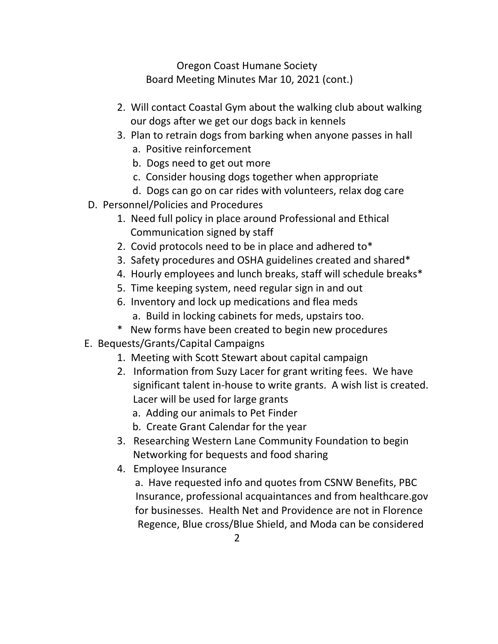Oregon Coast Humane Society Board Meeting Minutes Mar 10, 2021 (cont.)

- 2. Will contact Coastal Gym about the walking club about walking our dogs after we get our dogs back in kennels
- 3. Plan to retrain dogs from barking when anyone passes in hall
	- a. Positive reinforcement
	- b. Dogs need to get out more
	- c. Consider housing dogs together when appropriate
	- d. Dogs can go on car rides with volunteers, relax dog care
- D. Personnel/Policies and Procedures
	- 1. Need full policy in place around Professional and Ethical Communication signed by staff
	- 2. Covid protocols need to be in place and adhered to\*
	- 3. Safety procedures and OSHA guidelines created and shared\*
	- 4. Hourly employees and lunch breaks, staff will schedule breaks\*
	- 5. Time keeping system, need regular sign in and out
	- 6. Inventory and lock up medications and flea meds
		- a. Build in locking cabinets for meds, upstairs too.
	- \* New forms have been created to begin new procedures
- E. Bequests/Grants/Capital Campaigns
	- 1. Meeting with Scott Stewart about capital campaign
	- 2. Information from Suzy Lacer for grant writing fees. We have significant talent in-house to write grants. A wish list is created. Lacer will be used for large grants
		- a. Adding our animals to Pet Finder
		- b. Create Grant Calendar for the year
	- 3. Researching Western Lane Community Foundation to begin Networking for bequests and food sharing
	- 4. Employee Insurance
		- a. Have requested info and quotes from CSNW Benefits, PBC Insurance, professional acquaintances and from healthcare.gov for businesses. Health Net and Providence are not in Florence Regence, Blue cross/Blue Shield, and Moda can be considered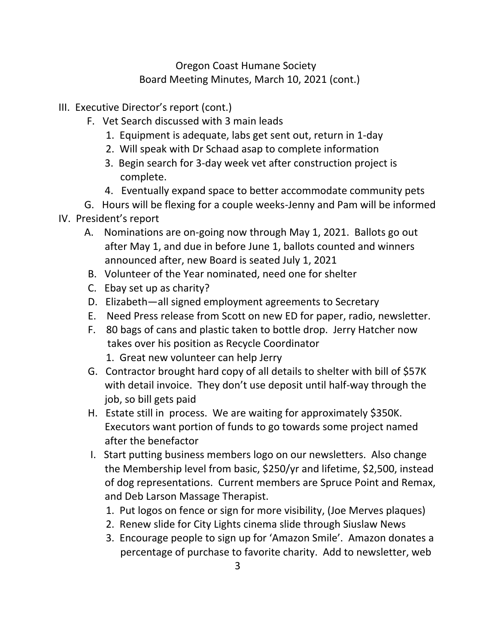## Oregon Coast Humane Society Board Meeting Minutes, March 10, 2021 (cont.)

- III. Executive Director's report (cont.)
	- F. Vet Search discussed with 3 main leads
		- 1. Equipment is adequate, labs get sent out, return in 1-day
		- 2. Will speak with Dr Schaad asap to complete information
		- 3. Begin search for 3-day week vet after construction project is complete.
		- 4. Eventually expand space to better accommodate community pets
	- G. Hours will be flexing for a couple weeks-Jenny and Pam will be informed

## IV. President's report

- A. Nominations are on-going now through May 1, 2021. Ballots go out after May 1, and due in before June 1, ballots counted and winners announced after, new Board is seated July 1, 2021
- B. Volunteer of the Year nominated, need one for shelter
- C. Ebay set up as charity?
- D. Elizabeth—all signed employment agreements to Secretary
- E. Need Press release from Scott on new ED for paper, radio, newsletter.
- F. 80 bags of cans and plastic taken to bottle drop. Jerry Hatcher now takes over his position as Recycle Coordinator
	- 1. Great new volunteer can help Jerry
- G. Contractor brought hard copy of all details to shelter with bill of \$57K with detail invoice. They don't use deposit until half-way through the job, so bill gets paid
- H. Estate still in process. We are waiting for approximately \$350K. Executors want portion of funds to go towards some project named after the benefactor
- I. Start putting business members logo on our newsletters. Also change the Membership level from basic, \$250/yr and lifetime, \$2,500, instead of dog representations. Current members are Spruce Point and Remax, and Deb Larson Massage Therapist.
	- 1. Put logos on fence or sign for more visibility, (Joe Merves plaques)
	- 2. Renew slide for City Lights cinema slide through Siuslaw News
	- 3. Encourage people to sign up for 'Amazon Smile'. Amazon donates a percentage of purchase to favorite charity. Add to newsletter, web